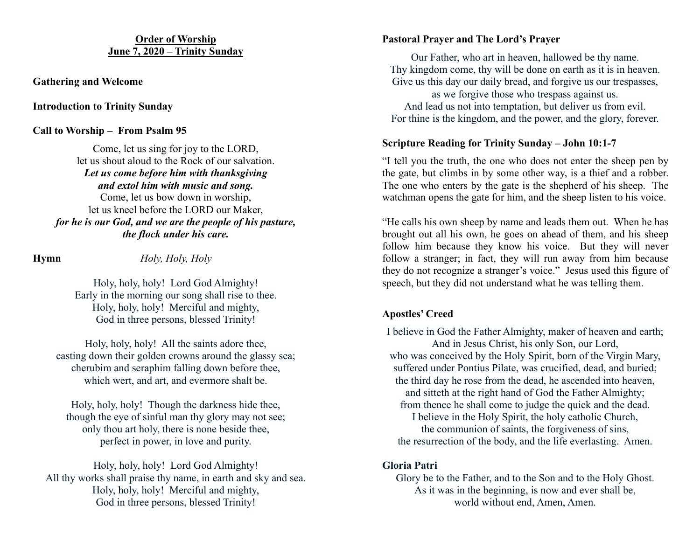#### **Order of Worship June 7, 2020 – Trinity Sunday**

#### **Gathering and Welcome**

#### **Introduction to Trinity Sunday**

#### **Call to Worship – From Psalm 95**

Come, let us sing for joy to the LORD, let us shout aloud to the Rock of our salvation. *Let us come before him with thanksgiving and extol him with music and song.* Come, let us bow down in worship, let us kneel before the LORD our Maker, *for he is our God, and we are the people of his pasture, the flock under his care.*

**Hymn** *Holy, Holy, Holy*

Holy, holy, holy! Lord God Almighty! Early in the morning our song shall rise to thee. Holy, holy, holy! Merciful and mighty, God in three persons, blessed Trinity!

Holy, holy, holy! All the saints adore thee, casting down their golden crowns around the glassy sea; cherubim and seraphim falling down before thee, which wert, and art, and evermore shalt be.

Holy, holy, holy! Though the darkness hide thee, though the eye of sinful man thy glory may not see; only thou art holy, there is none beside thee, perfect in power, in love and purity.

Holy, holy, holy! Lord God Almighty! All thy works shall praise thy name, in earth and sky and sea. Holy, holy, holy! Merciful and mighty, God in three persons, blessed Trinity!

# **Pastoral Prayer and The Lord's Prayer**

Our Father, who art in heaven, hallowed be thy name. Thy kingdom come, thy will be done on earth as it is in heaven. Give us this day our daily bread, and forgive us our trespasses, as we forgive those who trespass against us. And lead us not into temptation, but deliver us from evil. For thine is the kingdom, and the power, and the glory, forever.

# **Scripture Reading for Trinity Sunday – John 10:1-7**

"I tell you the truth, the one who does not enter the sheep pen by the gate, but climbs in by some other way, is a thief and a robber. The one who enters by the gate is the shepherd of his sheep. The watchman opens the gate for him, and the sheep listen to his voice.

"He calls his own sheep by name and leads them out. When he has brought out all his own, he goes on ahead of them, and his sheep follow him because they know his voice. But they will never follow a stranger; in fact, they will run away from him because they do not recognize a stranger's voice." Jesus used this figure of speech, but they did not understand what he was telling them.

# **Apostles' Creed**

I believe in God the Father Almighty, maker of heaven and earth; And in Jesus Christ, his only Son, our Lord, who was conceived by the Holy Spirit, born of the Virgin Mary, suffered under Pontius Pilate, was crucified, dead, and buried; the third day he rose from the dead, he ascended into heaven, and sitteth at the right hand of God the Father Almighty; from thence he shall come to judge the quick and the dead. I believe in the Holy Spirit, the holy catholic Church, the communion of saints, the forgiveness of sins, the resurrection of the body, and the life everlasting. Amen.

# **Gloria Patri**

Glory be to the Father, and to the Son and to the Holy Ghost. As it was in the beginning, is now and ever shall be, world without end, Amen, Amen.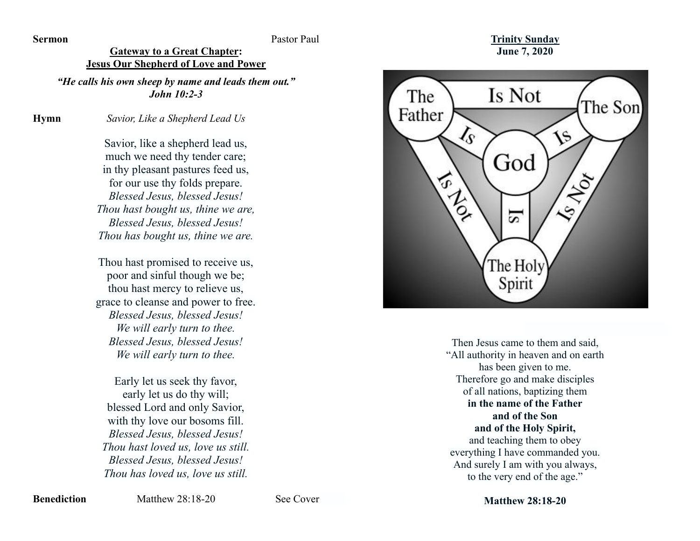**Sermon** Pastor Paul

# **Gateway to a Great Chapter:**

**Jesus Our Shepherd of Love and Power** *"He calls his own sheep by name and leads them out."*

*John 10:2-3*

**Hymn** *Savior, Like a Shepherd Lead Us*

Savior, like a shepherd lead us, much we need thy tender care; in thy pleasant pastures feed us, for our use thy folds prepare. *Blessed Jesus, blessed Jesus! Thou hast bought us, thine we are, Blessed Jesus, blessed Jesus! Thou has bought us, thine we are.*

Thou hast promised to receive us, poor and sinful though we be; thou hast mercy to relieve us, grace to cleanse and power to free. *Blessed Jesus, blessed Jesus! We will early turn to thee. Blessed Jesus, blessed Jesus! We will early turn to thee.*

Early let us seek thy favor, early let us do thy will; blessed Lord and only Savior, with thy love our bosoms fill. *Blessed Jesus, blessed Jesus! Thou hast loved us, love us still. Blessed Jesus, blessed Jesus! Thou has loved us, love us still.* 

**Trinity Sunday June 7, 2020**



Then Jesus came to them and said, "All authority in heaven and on earth has been given to me. Therefore go and make disciples of all nations, baptizing them **in the name of the Father and of the Son and of the Holy Spirit,** and teaching them to obey everything I have commanded you. And surely I am with you always, to the very end of the age."

**Matthew 28:18-20**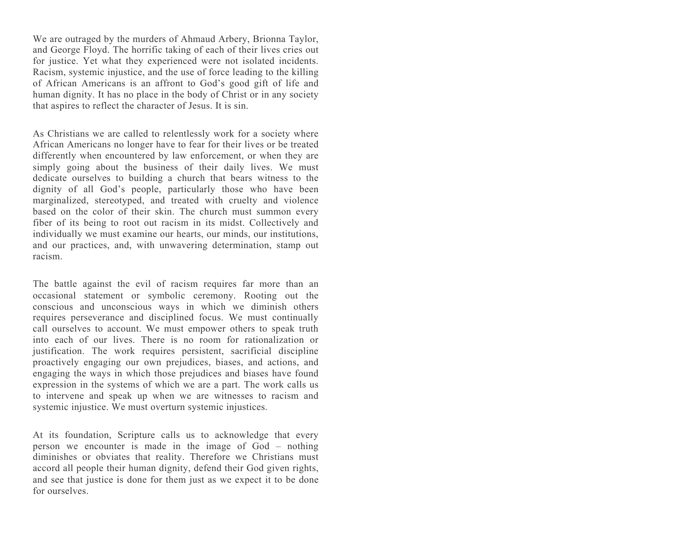We are outraged by the murders of Ahmaud Arbery, Brionna Taylor, and George Floyd. The horrific taking of each of their lives cries out for justice. Yet what they experienced were not isolated incidents. Racism, systemic injustice, and the use of force leading to the killing of African Americans is an affront to God's good gift of life and human dignity. It has no place in the body of Christ or in any society that aspires to reflect the character of Jesus. It is sin.

As Christians we are called to relentlessly work for a society where African Americans no longer have to fear for their lives or be treated differently when encountered by law enforcement, or when they are simply going about the business of their daily lives. We must dedicate ourselves to building a church that bears witness to the dignity of all God's people, particularly those who have been marginalized, stereotyped, and treated with cruelty and violence based on the color of their skin. The church must summon every fiber of its being to root out racism in its midst. Collectively and individually we must examine our hearts, our minds, our institutions, and our practices, and, with unwavering determination, stamp out racism.

The battle against the evil of racism requires far more than an occasional statement or symbolic ceremony. Rooting out the conscious and unconscious ways in which we diminish others requires perseverance and disciplined focus. We must continually call ourselves to account. We must empower others to speak truth into each of our lives. There is no room for rationalization or justification. The work requires persistent, sacrificial discipline proactively engaging our own prejudices, biases, and actions, and engaging the ways in which those prejudices and biases have found expression in the systems of which we are a part. The work calls us to intervene and speak up when we are witnesses to racism and systemic injustice. We must overturn systemic injustices.

At its foundation, Scripture calls us to acknowledge that every person we encounter is made in the image of God – nothing diminishes or obviates that reality. Therefore we Christians must accord all people their human dignity, defend their God given rights, and see that justice is done for them just as we expect it to be done for ourselves.